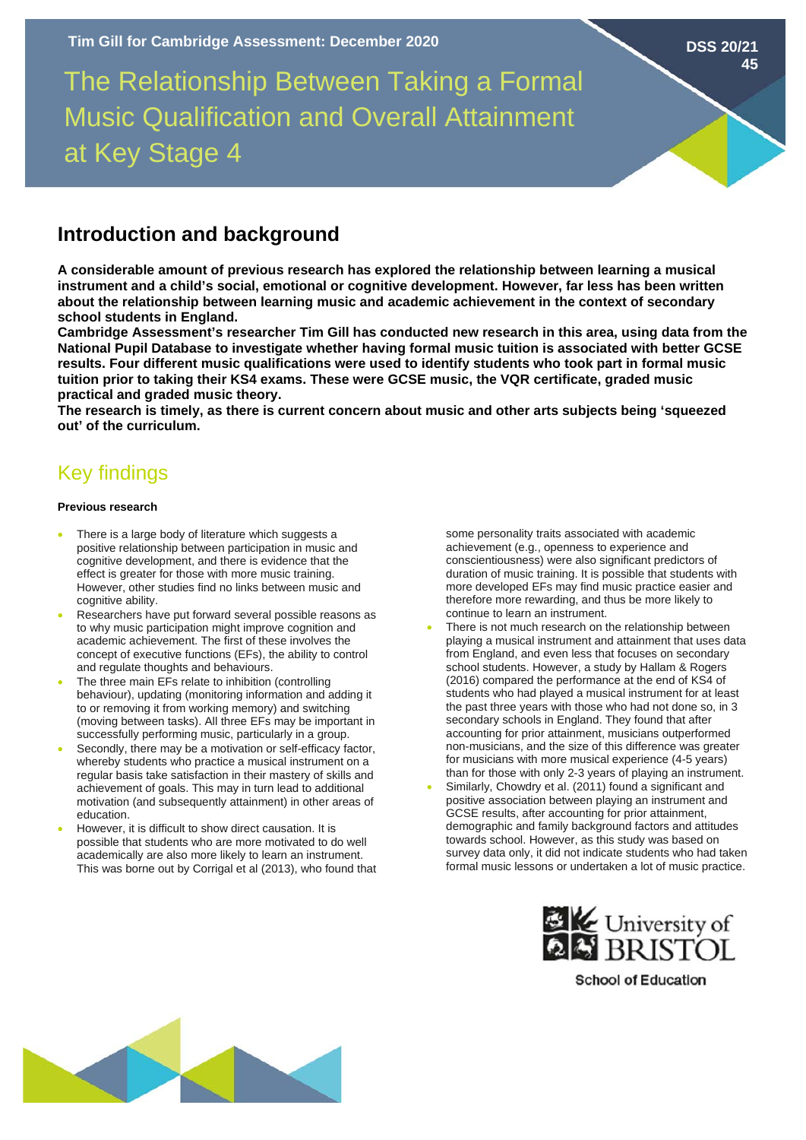The Relationship Between Taking a Formal Music Qualification and Overall Attainment at Key Stage 4

# **Introduction and background**

**A considerable amount of previous research has explored the relationship between learning a musical instrument and a child's social, emotional or cognitive development. However, far less has been written about the relationship between learning music and academic achievement in the context of secondary school students in England.**

**Cambridge Assessment's researcher Tim Gill has conducted new research in this area, using data from the National Pupil Database to investigate whether having formal music tuition is associated with better GCSE results. Four different music qualifications were used to identify students who took part in formal music tuition prior to taking their KS4 exams. These were GCSE music, the VQR certificate, graded music practical and graded music theory.** 

**The research is timely, as there is current concern about music and other arts subjects being 'squeezed out' of the curriculum.** 

# Key findings

## **Previous research**

- There is a large body of literature which suggests a positive relationship between participation in music and cognitive development, and there is evidence that the effect is greater for those with more music training. However, other studies find no links between music and cognitive ability.
- Researchers have put forward several possible reasons as to why music participation might improve cognition and academic achievement. The first of these involves the concept of executive functions (EFs), the ability to control and regulate thoughts and behaviours.
- The three main EFs relate to inhibition (controlling behaviour), updating (monitoring information and adding it to or removing it from working memory) and switching (moving between tasks). All three EFs may be important in successfully performing music, particularly in a group.
- Secondly, there may be a motivation or self-efficacy factor, whereby students who practice a musical instrument on a regular basis take satisfaction in their mastery of skills and achievement of goals. This may in turn lead to additional motivation (and subsequently attainment) in other areas of education.
- However, it is difficult to show direct causation. It is possible that students who are more motivated to do well academically are also more likely to learn an instrument. This was borne out by Corrigal et al (2013), who found that

some personality traits associated with academic achievement (e.g., openness to experience and conscientiousness) were also significant predictors of duration of music training. It is possible that students with more developed EFs may find music practice easier and therefore more rewarding, and thus be more likely to continue to learn an instrument.

**DSS 20/21**

**45**

- There is not much research on the relationship between playing a musical instrument and attainment that uses data from England, and even less that focuses on secondary school students. However, a study by Hallam & Rogers (2016) compared the performance at the end of KS4 of students who had played a musical instrument for at least the past three years with those who had not done so, in 3 secondary schools in England. They found that after accounting for prior attainment, musicians outperformed non-musicians, and the size of this difference was greater for musicians with more musical experience (4-5 years) than for those with only 2-3 years of playing an instrument.
- Similarly, Chowdry et al. (2011) found a significant and positive association between playing an instrument and GCSE results, after accounting for prior attainment, demographic and family background factors and attitudes towards school. However, as this study was based on survey data only, it did not indicate students who had taken formal music lessons or undertaken a lot of music practice.



**School of Education**